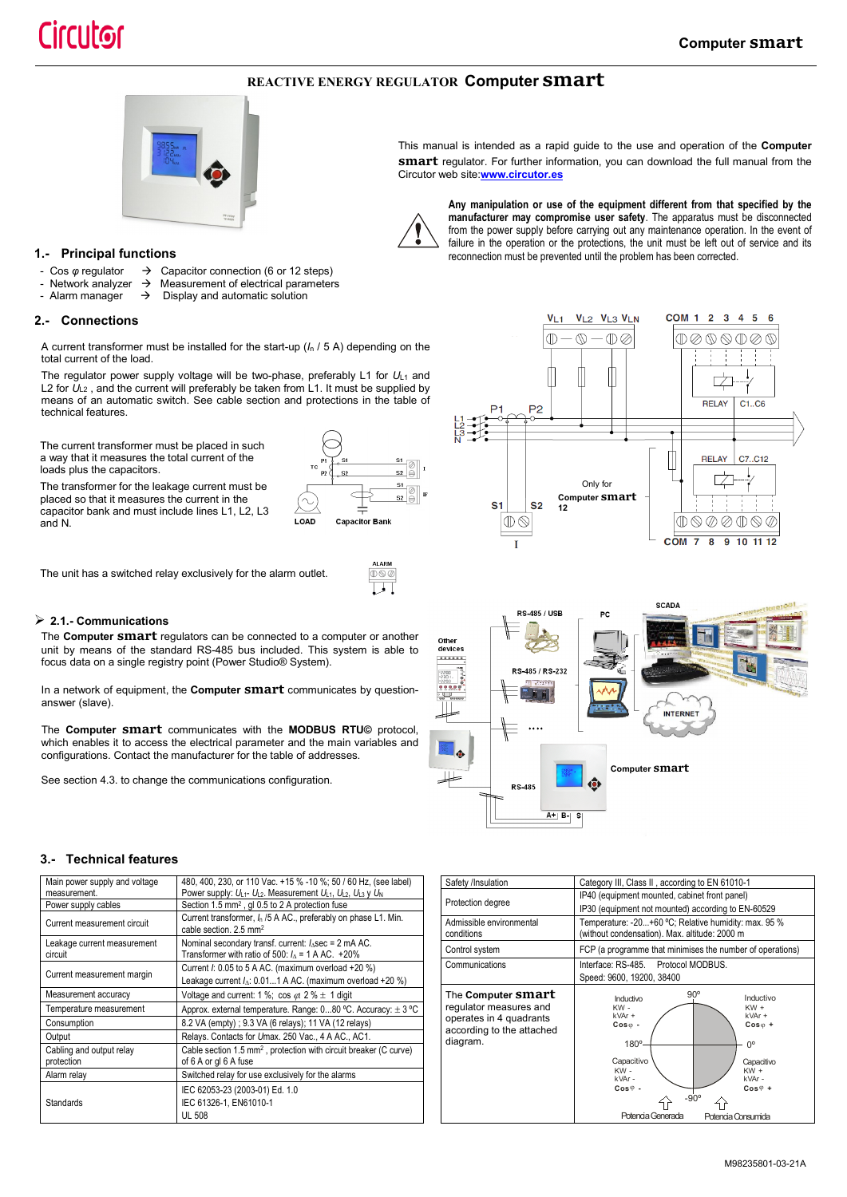## **REACTIVE ENERGY REGULATOR Computer smart**



## **1.- Principal functions**

- 
- Cos *φ* regulator  $\rightarrow$  Capacitor connection (6 or 12 steps)<br>Network analyzer → Measurement of electrical parameter
- Network analyzer  $\rightarrow$  Measurement of electrical parameters<br>- Alarm manager  $\rightarrow$  Display and automatic solution Display and automatic solution

## **2.- Connections**

A current transformer must be installed for the start-up (*I*<sup>n</sup> / 5 A) depending on the total current of the load.

The regulator power supply voltage will be two-phase, preferably L1 for  $U_{11}$  and L2 for  $U_{L2}$ , and the current will preferably be taken from L1. It must be supplied by means of an automatic switch. See cable section and protections in the table of technical features.

The current transformer must be placed in such a way that it measures the total current of the loads plus the capacitors.

The transformer for the leakage current must be placed so that it measures the current in the capacitor bank and must include lines L1, L2, L3 and N.



The unit has a switched relay exclusively for the alarm outlet.

## **2.1.- Communications**

The **Computer smart** regulators can be connected to a computer or another unit by means of the standard RS-485 bus included. This system is able to focus data on a single registry point (Power Studio® System).

In a network of equipment, the **Computer smart** communicates by questionanswer (slave).

The **Computer smart** communicates with the **MODBUS RTU©** protocol, which enables it to access the electrical parameter and the main variables and configurations. Contact the manufacturer for the table of addresses.

See section 4.3. to change the communications configuration.



This manual is intended as a rapid guide to the use and operation of the **Computer smart** regulator. For further information, you can download the full manual from the Circutor web site:**[www.circutor.es](http://www.circutor.es/)**



**Any manipulation or use of the equipment different from that specified by the manufacturer may compromise user safety**. The apparatus must be disconnected from the power supply before carrying out any maintenance operation. In the event of failure in the operation or the protections, the unit must be left out of service and its reconnection must be prevented until the problem has been corrected.





## **3.- Technical features**

| Main power supply and voltage          | 480, 400, 230, or 110 Vac. +15 % -10 %; 50 / 60 Hz, (see label)                                                               |
|----------------------------------------|-------------------------------------------------------------------------------------------------------------------------------|
| measurement.                           | Power supply: $U_{L1}$ - $U_{L2}$ . Measurement $U_{L1}$ , $U_{L2}$ , $U_{L3}$ y $U_N$                                        |
| Power supply cables                    | Section 1.5 mm <sup>2</sup> , gl 0.5 to 2 A protection fuse                                                                   |
| Current measurement circuit            | Current transformer, In /5 A AC., preferably on phase L1. Min.<br>cable section. 2.5 mm <sup>2</sup>                          |
| Leakage current measurement<br>circuit | Nominal secondary transf. current: $I_{\Delta}$ sec = 2 mA AC.<br>Transformer with ratio of 500: $I_1 = 1$ A AC. +20%         |
| Current measurement margin             | Current $l$ : 0.05 to 5 A AC. (maximum overload +20 %)<br>Leakage current $I_{\Delta}$ : 0.011 A AC. (maximum overload +20 %) |
| Measurement accuracy                   | Voltage and current: 1 %; cos $\varphi$ : 2 % $\pm$ 1 digit                                                                   |
| Temperature measurement                | Approx. external temperature. Range: 080 °C. Accuracy: ± 3 °C                                                                 |
| Consumption                            | 8.2 VA (empty); 9.3 VA (6 relays); 11 VA (12 relays)                                                                          |
| Output                                 | Relays. Contacts for Umax. 250 Vac., 4 A AC., AC1.                                                                            |
| Cabling and output relay               | Cable section 1.5 mm <sup>2</sup> , protection with circuit breaker (C curve)                                                 |
| protection                             | of 6 A or gl 6 A fuse                                                                                                         |
| Alarm relay                            | Switched relay for use exclusively for the alarms                                                                             |
|                                        | IEC 62053-23 (2003-01) Ed. 1.0                                                                                                |
| Standards                              | IEC 61326-1, EN61010-1                                                                                                        |
|                                        | <b>UL 508</b>                                                                                                                 |

| Safety /Insulation                                                                                                      | Category III, Class II, according to EN 61010-1                                                                                                                                                                                                                                                 |  |  |  |  |  |  |
|-------------------------------------------------------------------------------------------------------------------------|-------------------------------------------------------------------------------------------------------------------------------------------------------------------------------------------------------------------------------------------------------------------------------------------------|--|--|--|--|--|--|
| Protection degree                                                                                                       | IP40 (equipment mounted, cabinet front panel)                                                                                                                                                                                                                                                   |  |  |  |  |  |  |
|                                                                                                                         | IP30 (equipment not mounted) according to EN-60529                                                                                                                                                                                                                                              |  |  |  |  |  |  |
| Admissible environmental<br>conditions                                                                                  | Temperature: -20+60 °C; Relative humidity: max. 95 %<br>(without condensation). Max. altitude: 2000 m                                                                                                                                                                                           |  |  |  |  |  |  |
| Control system                                                                                                          | FCP (a programme that minimises the number of operations)                                                                                                                                                                                                                                       |  |  |  |  |  |  |
| Communications                                                                                                          | Interface: RS-485. Protocol MODBUS.                                                                                                                                                                                                                                                             |  |  |  |  |  |  |
|                                                                                                                         | Speed: 9600, 19200, 38400                                                                                                                                                                                                                                                                       |  |  |  |  |  |  |
| The <b>Computer SMArt</b><br>regulator measures and<br>operates in 4 quadrants<br>according to the attached<br>diagram. | $90^{\circ}$<br>Inductivo<br>Inductivo<br>KW-<br>$KW +$<br>kVAr +<br>$k$ VAr +<br>$Cos \varphi$ -<br>$Cos_{0}$ +<br>180°<br>0°<br>Capacitivo<br>Capacitivo<br>$KW -$<br>$KW +$<br>kVAr-<br>kVAr-<br>$Cos \varphi$ -<br>$Cos\varphi$ +<br>$-90^\circ$<br>Potencia Generada<br>Potencia Consumida |  |  |  |  |  |  |